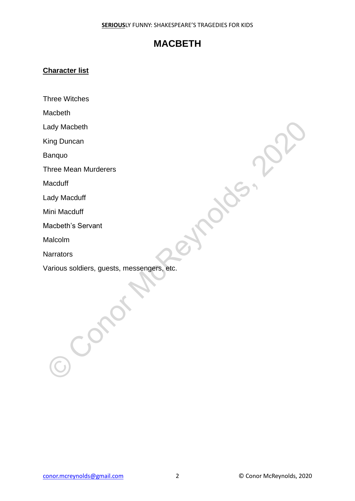### **Character list**

Three Witches

Macbeth

Lady Macbeth

King Duncan

Banquo

Three Mean Murderers

**Macduff** 

Lady Macduff

Mini Macduff

Macbeth's Servant

Malcolm

**Narrators** 

Various soldiers, guests, messengers, etc. ady Macbeth<br>
Sing Duncan<br>
Slanquo<br>
Alacduff<br>
Alacduff<br>
Alacduff<br>
Alacduff<br>
Alacdom<br>
Narrators<br>
Alacdom<br>
Narrators<br>
Alacdom<br>
Narrators<br>
Alacolom<br>
Alarrators<br>
Alacolom<br>
Alarrators<br>
Alacduff<br>
Alacolom<br>
Alarrators<br>
Alacduff<br>
A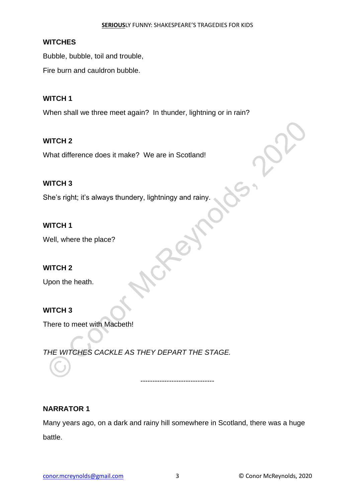#### **WITCHES**

Bubble, bubble, toil and trouble,

Fire burn and cauldron bubble.

### **WITCH 1**

When shall we three meet again? In thunder, lightning or in rain?

### **WITCH 2**

What difference does it make? We are in Scotland!

### **WITCH 3**

She's right; it's always thundery, lightningy and rainy.

### **WITCH 1**

Well, where the place?

# **WITCH 2**

Upon the heath.

# **WITCH 3**

There to meet with Macbeth!

*THE WITCHES CACKLE AS THEY DEPART THE STAGE.* WITCH 2<br>
What difference does it make? We are in Scotland!<br>
She's right; it's always thundery, lightningy and rainy.<br>
MITCH 1<br>
WITCH 2<br>
Jon the heath.<br>
MITCH 3<br>
There to meet with Macbeth!<br>
THE WITCHES CACKLE AS THEY DEPAR

#### **NARRATOR 1**

Many years ago, on a dark and rainy hill somewhere in Scotland, there was a huge battle.

-------------------------------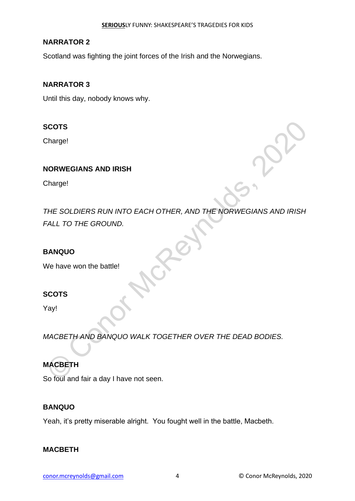### **NARRATOR 2**

Scotland was fighting the joint forces of the Irish and the Norwegians.

### **NARRATOR 3**

Until this day, nobody knows why.

# **SCOTS**

Charge!

# **NORWEGIANS AND IRISH**

Charge!

*THE SOLDIERS RUN INTO EACH OTHER, AND THE NORWEGIANS AND IRISH FALL TO THE GROUND.* SCOTS<br>
Charge!<br>
Charge!<br>
Charge!<br>
Charge!<br>
Charge!<br>
Charge!<br>
Charge!<br>
Charge!<br>
Charge!<br>
Charge!<br>
Cargl!<br>
Charge won the battle!<br>
Contract McContract McRey!<br>
Charge!<br>
Charge!<br>
Charge!<br>
Charge!<br>
Charge!<br>
Charge!<br>
Charge!<br>
Ch

### **BANQUO**

We have won the battle!

# **SCOTS**

Yay!

*MACBETH AND BANQUO WALK TOGETHER OVER THE DEAD BODIES.*

# **MACBETH**

So foul and fair a day I have not seen.

# **BANQUO**

Yeah, it's pretty miserable alright. You fought well in the battle, Macbeth.

#### **MACBETH**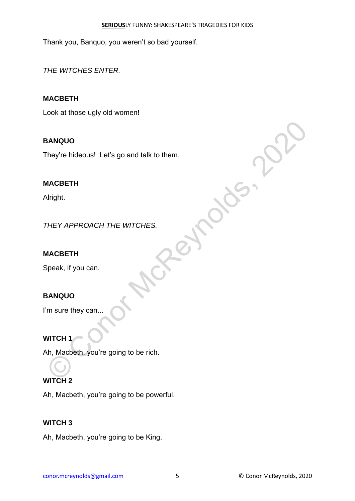Thank you, Banquo, you weren't so bad yourself.

*THE WITCHES ENTER.*

# **MACBETH**

Look at those ugly old women!

# **BANQUO**

They're hideous! Let's go and talk to them. BANQUO<br>
They're hideous! Let's go and talk to them.<br>
Nirght.<br>
Nirght.<br>
Nirght.<br>
Nirght.<br>
Speak, if you can.<br>
Speak, if you can.<br>
Nirght.<br>
Nirght.<br>
Nirght.<br>
Nirght.<br>
Nirght.<br>
Nirght.<br>
Nirght.<br>
Nirght.<br>
Nirght.<br>
Nirght.<br>
Nir

# **MACBETH**

Alright.

*THEY APPROACH THE WITCHES.*

# **MACBETH**

Speak, if you can.

# **BANQUO**

I'm sure they can...

**WITCH 1**

Ah, Macbeth, you're going to be rich.

# **WITCH 2**

Ah, Macbeth, you're going to be powerful.

# **WITCH 3**

Ah, Macbeth, you're going to be King.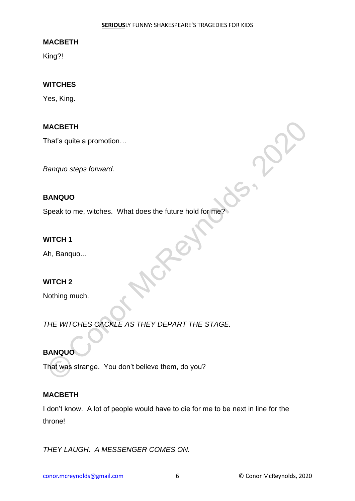King?!

#### **WITCHES**

Yes, King.

#### **MACBETH**

That's quite a promotion…

*Banquo steps forward.*

#### **BANQUO**

Speak to me, witches. What does the future hold for me?

#### **WITCH 1**

Ah, Banquo...

#### **WITCH 2**

Nothing much.

*THE WITCHES CACKLE AS THEY DEPART THE STAGE.* MACBETH<br>
Flat's quite a promotion...<br>
Banquo steps forward.<br>
Speak to me, witches. What does the future hold for me?<br>
MITCH 1<br>
Ah, Banquo...<br>
MITCH 2<br>
Nothing much.<br>
THE WITCHES CACKLE AS THEY DEPART THE STAGE.<br>
BANQUO<br>
MA

#### **BANQUO**

That was strange. You don't believe them, do you?

#### **MACBETH**

I don't know. A lot of people would have to die for me to be next in line for the throne!

*THEY LAUGH. A MESSENGER COMES ON.*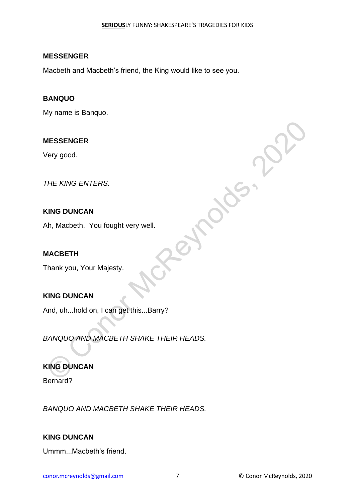#### **MESSENGER**

Macbeth and Macbeth's friend, the King would like to see you.

#### **BANQUO**

My name is Banquo.

### **MESSENGER**

Very good.

*THE KING ENTERS.*

### **KING DUNCAN**

Ah, Macbeth. You fought very well.

#### **MACBETH**

Thank you, Your Majesty.

# **KING DUNCAN**

And, uh...hold on, I can get this...Barry?

*BANQUO AND MACBETH SHAKE THEIR HEADS.* WESSENGER<br>
Very good.<br>
THE KING ENTERS.<br>
SING DUNCAN<br>
Nh, Macbeth. You fought very well.<br>
MACBETH<br>
Thank you. Your Majesty.<br>
SING DUNCAN<br>
Nhd, uh...hold on, I can get this...Barry?<br>
SANOUO AND MACBETH SHAKE THEIR HEADS.<br>
S

# **KING DUNCAN**

Bernard?

*BANQUO AND MACBETH SHAKE THEIR HEADS.*

# **KING DUNCAN**

Ummm...Macbeth's friend.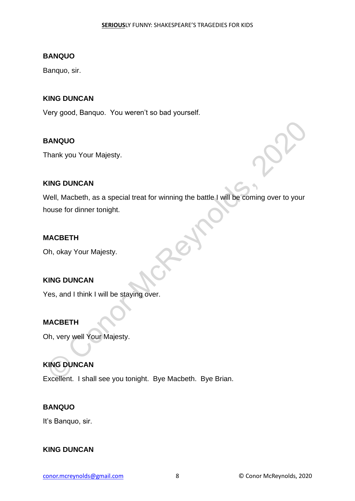#### **BANQUO**

Banquo, sir.

### **KING DUNCAN**

Very good, Banquo. You weren't so bad yourself.

#### **BANQUO**

Thank you Your Majesty.

#### **KING DUNCAN**

Well, Macbeth, as a special treat for winning the battle I will be coming over to your house for dinner tonight. SANQUO<br>
Fhank you Your Majesty.<br>
ING DUNCAN<br>
Well, Macbeth, as a special treat for winning the battle I will be coming over to your<br>
Now Your Majesty.<br>
Consider the SAN Your Majesty.<br>
Consider the SAN Your Majesty.<br>
MACBET

#### **MACBETH**

Oh, okay Your Majesty.

# **KING DUNCAN**

Yes, and I think I will be staying over.

#### **MACBETH**

Oh, very well Your Majesty.

# **KING DUNCAN**

Excellent. I shall see you tonight. Bye Macbeth. Bye Brian.

#### **BANQUO**

It's Banquo, sir.

#### **KING DUNCAN**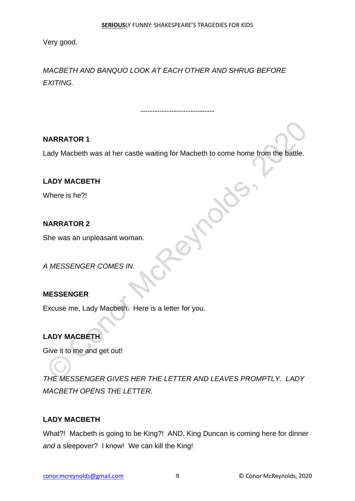Very good.

*MACBETH AND BANQUO LOOK AT EACH OTHER AND SHRUG BEFORE EXITING.*

# **NARRATOR 1**

Lady Macbeth was at her castle waiting for Macbeth to come home from the battle.

-------------------------------

# **LADY MACBETH**

Where is he?!

# **NARRATOR 2**

She was an unpleasant woman.

*A MESSENGER COMES IN.*

# **MESSENGER**

Excuse me, Lady Macbeth. Here is a letter for you.

# **LADY MACBETH**

Give it to me and get out!

*THE MESSENGER GIVES HER THE LETTER AND LEAVES PROMPTLY. LADY MACBETH OPENS THE LETTER.* VARRATOR 1<br>
ADY MACBETH<br>
ADY MACBETH<br>
Mhere is he?!<br>
MacReynolds<br>
She was an unpleasant woman.<br>
MESSENGER COMES IN.<br>
MESSENGER COMES IN.<br>
MESSENGER COMES IN.<br>
AN MESSENGER COMES IN.<br>
ADY MACBETH<br>
Sive it to me and get out!

# **LADY MACBETH**

What?! Macbeth is going to be King?! AND, King Duncan is coming here for dinner *and* a sleepover? I know! We can kill the King!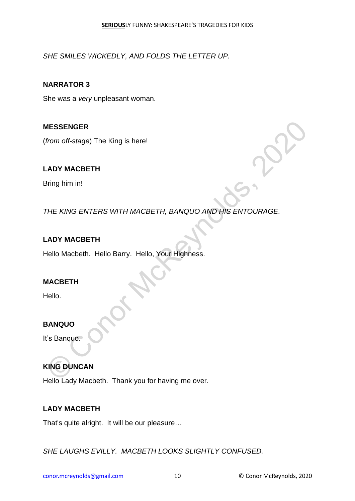*SHE SMILES WICKEDLY, AND FOLDS THE LETTER UP.*

**NARRATOR 3**

She was a *very* unpleasant woman.

**MESSENGER**

(*from off-stage*) The King is here!

# **LADY MACBETH**

Bring him in!

*THE KING ENTERS WITH MACBETH, BANQUO AND HIS ENTOURAGE.* MESSENGER<br>
The MACBETH<br>
ADY MACBETH<br>
Bring him in!<br>
THE KING ENTERS WITH MACBETH, BANQUO AND HIS ENTOURAGE.<br>
ADY MACBETH<br>
Hello Macbeth. Hello Barry. Hello, Your Highness.<br>
MACBETH<br>
Hello.<br>
SANQUO<br>
TS Banquo.<br>
NING DUNCAN<br>

# **LADY MACBETH**

Hello Macbeth. Hello Barry. Hello, Your Highness.

# **MACBETH**

Hello.

# **BANQUO**

It's Banquo.

# **KING DUNCAN**

Hello Lady Macbeth. Thank you for having me over.

# **LADY MACBETH**

That's quite alright. It will be our pleasure…

*SHE LAUGHS EVILLY. MACBETH LOOKS SLIGHTLY CONFUSED.*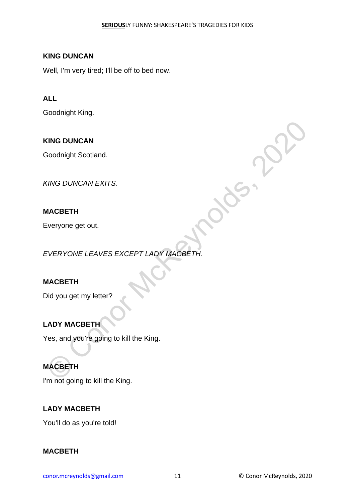### **KING DUNCAN**

Well, I'm very tired; I'll be off to bed now.

### **ALL**

Goodnight King.

### **KING DUNCAN**

Goodnight Scotland.

*KING DUNCAN EXITS.*

### **MACBETH**

Everyone get out.

*EVERYONE LEAVES EXCEPT LADY MACBETH.* KING DUNCAN<br>
Soodnight Scotland.<br>
MACBETH<br>
EVERYONE LEAVES EXCEPT LADY MACBETH.<br>
EVERYONE LEAVES EXCEPT LADY MACBETH.<br>
Did you get my letter?<br>
ADY MACBETH<br>
(es, and you're going to kill the King.<br>
MACBETH<br>
I'm pot going to

#### **MACBETH**

Did you get my letter?

# **LADY MACBETH**

Yes, and you're going to kill the King.

# **MACBETH**

I'm not going to kill the King.

# **LADY MACBETH**

You'll do as you're told!

#### **MACBETH**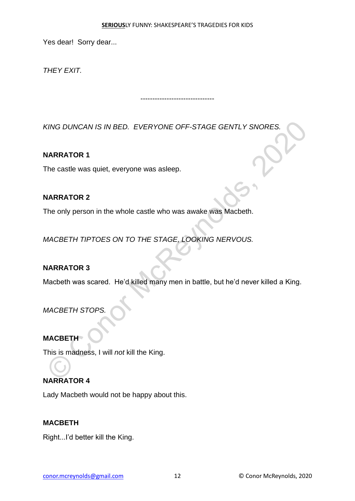#### **SERIOUS**LY FUNNY: SHAKESPEARE'S TRAGEDIES FOR KIDS

-------------------------------

Yes dear! Sorry dear...

*THEY EXIT.*

*KING DUNCAN IS IN BED. EVERYONE OFF-STAGE GENTLY SNORES.*  KING DUNCAN IS IN BED. EVERYONE OFF-STAGE GENTLY SNORES.<br>
NARRATOR 1<br>
The castle was quiet, everyone was asleep.<br>
NARRATOR 2<br>
The only person in the whole castle who was awake was Macbeth.<br>
MACBETH TIPTOES ON TO THE STAGE,

**NARRATOR 1**

The castle was quiet, everyone was asleep.

#### **NARRATOR 2**

The only person in the whole castle who was awake was Macbeth.

*MACBETH TIPTOES ON TO THE STAGE, LOOKING NERVOUS.*

#### **NARRATOR 3**

Macbeth was scared. He'd killed many men in battle, but he'd never killed a King.

*MACBETH STOPS.*

**MACBETH** 

This is madness, I will *not* kill the King.

# **NARRATOR 4**

Lady Macbeth would not be happy about this.

#### **MACBETH**

Right...I'd better kill the King.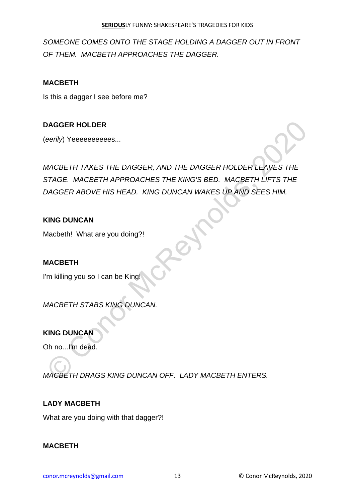*SOMEONE COMES ONTO THE STAGE HOLDING A DAGGER OUT IN FRONT OF THEM. MACBETH APPROACHES THE DAGGER.*

# **MACBETH**

Is this a dagger I see before me?

# **DAGGER HOLDER**

(*eerily*) Yeeeeeeeeees...

*MACBETH TAKES THE DAGGER, AND THE DAGGER HOLDER LEAVES THE STAGE. MACBETH APPROACHES THE KING'S BED. MACBETH LIFTS THE DAGGER ABOVE HIS HEAD. KING DUNCAN WAKES UP AND SEES HIM.* **DAGGER HOLDER**<br> **EVALUATE SERVE AND THE DAGGER HOLDER LEAVES THE**<br>
MACBETH TAKES THE DAGGER, AND THE DAGGER HOLDER LEAVES THE<br>
STAGE. MACBETH APPROACHES THE KING'S BED. MACBETH LIFTS THE<br> **AGGER ABOVE HIS HEAD.** KING DUNC

# **KING DUNCAN**

Macbeth! What are you doing?!

# **MACBETH**

I'm killing you so I can be King

*MACBETH STABS KING DUNCAN.*

# **KING DUNCAN**

Oh no...I'm dead.

*MACBETH DRAGS KING DUNCAN OFF. LADY MACBETH ENTERS.*

# **LADY MACBETH**

What are you doing with that dagger?!

# **MACBETH**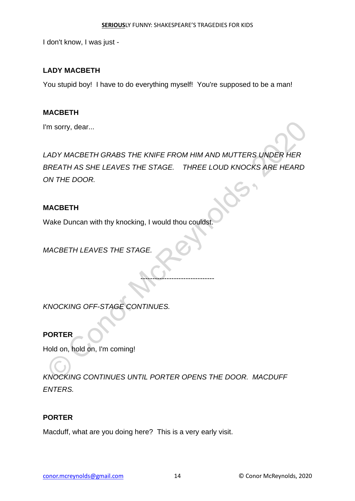I don't know, I was just -

### **LADY MACBETH**

You stupid boy! I have to do everything myself! You're supposed to be a man!

#### **MACBETH**

I'm sorry, dear...

*LADY MACBETH GRABS THE KNIFE FROM HIM AND MUTTERS UNDER HER BREATH AS SHE LEAVES THE STAGE. THREE LOUD KNOCKS ARE HEARD ON THE DOOR.* THE SOFT AND MACHAETH GRABS THE KNIFE FROM HIM AND MUTTERS UNDER HER<br>
SREATH AS SHE LEAVES THE STAGE. THREE LOUD KNOCKS ARE HEARD<br>
ON THE DOOR.<br>
MACBETH<br>
MACBETH LEAVES THE STAGE.<br>
CONOCKING OFF-STAGE CONTINUES.<br>
FORTER<br>
H

-------------------------------

#### **MACBETH**

Wake Duncan with thy knocking, I would thou couldst.

*MACBETH LEAVES THE STAGE.*

*KNOCKING OFF-STAGE CONTINUES.*

**PORTER**

Hold on, hold on, I'm coming!

*KNOCKING CONTINUES UNTIL PORTER OPENS THE DOOR. MACDUFF ENTERS.*

#### **PORTER**

Macduff, what are you doing here? This is a very early visit.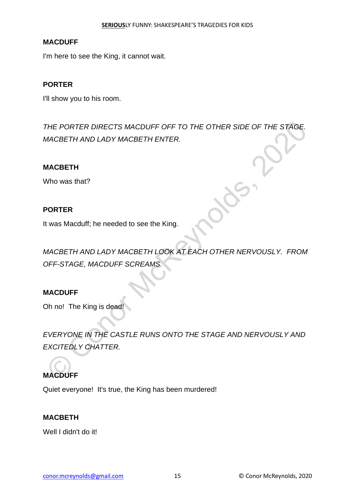#### **MACDUFF**

I'm here to see the King, it cannot wait.

### **PORTER**

I'll show you to his room.

*THE PORTER DIRECTS MACDUFF OFF TO THE OTHER SIDE OF THE STAGE. MACBETH AND LADY MACBETH ENTER.*

#### **MACBETH**

Who was that?

### **PORTER**

It was Macduff; he needed to see the King.

*MACBETH AND LADY MACBETH LOOK AT EACH OTHER NERVOUSLY. FROM OFF-STAGE, MACDUFF SCREAMS.*

# **MACDUFF**

Oh no! The King is dead!

*EVERYONE IN THE CASTLE RUNS ONTO THE STAGE AND NERVOUSLY AND EXCITEDLY CHATTER.* THE PORTER DIRECTS MACDUFF OFF TO THE OTHER SIDE OF THE STAGE.<br>
MACBETH AND LADY MACBETH ENTER.<br>
NOW WAS that?<br>
PORTER<br>
WAGBETH AND LADY MACBETH LOOK AT EACH OTHER NERVOUSLY. FROM<br>
MACBETH AND LADY MACBETH LOOK AT EACH OTH

# **MACDUFF**

Quiet everyone! It's true, the King has been murdered!

#### **MACBETH**

Well I didn't do it!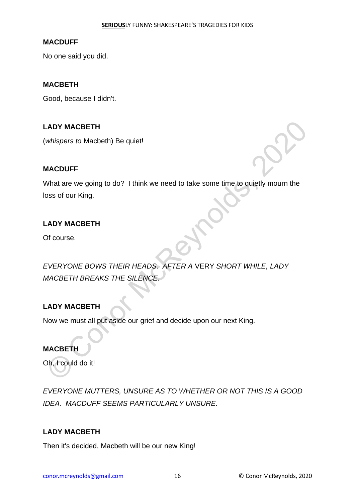#### **MACDUFF**

No one said you did.

#### **MACBETH**

Good, because I didn't.

#### **LADY MACBETH**

(*whispers to* Macbeth) Be quiet!

#### **MACDUFF**

What are we going to do? I think we need to take some time to quietly mourn the loss of our King.

### **LADY MACBETH**

Of course.

*EVERYONE BOWS THEIR HEADS. AFTER A* VERY *SHORT WHILE, LADY MACBETH BREAKS THE SILENCE.* ADY MACBETH<br>
Whispers to Macbeth) Be quiet!<br>
MacDUFF<br>
Mhat are we going to do? | think we need to take some time to quietly mourn the<br>
oss of our King.<br>
ADY MACBETH<br>
DI course.<br>
EVERYONE BOWS THEIR HEADS. AFTER A VERY SHOR

#### **LADY MACBETH**

Now we must all put aside our grief and decide upon our next King.

#### **MACBETH**

Oh, I could do it!

*EVERYONE MUTTERS, UNSURE AS TO WHETHER OR NOT THIS IS A GOOD IDEA. MACDUFF SEEMS PARTICULARLY UNSURE.* 

#### **LADY MACBETH**

Then it's decided, Macbeth will be our new King!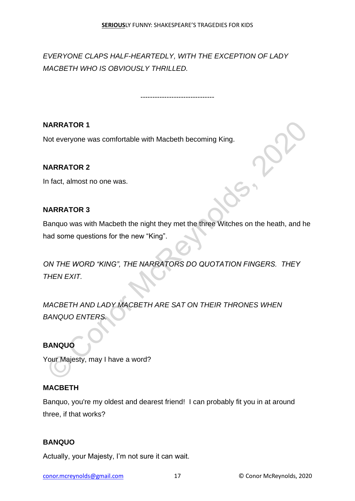-------------------------------

*EVERYONE CLAPS HALF-HEARTEDLY, WITH THE EXCEPTION OF LADY MACBETH WHO IS OBVIOUSLY THRILLED.*

**NARRATOR 1**

Not everyone was comfortable with Macbeth becoming King.

# **NARRATOR 2**

In fact, almost no one was.

### **NARRATOR 3**

Banquo was with Macbeth the night they met the three Witches on the heath, and he had some questions for the new "King".

*ON THE WORD "KING", THE NARRATORS DO QUOTATION FINGERS. THEY THEN EXIT.*  VARRATOR 1<br>
Not everyone was comfortable with Macbeth becoming King.<br>
NARRATOR 2<br>
In fact, almost no one was.<br>
Sanquo was with Macbeth the night they met the three Witches on the heath, and h<br>
Inad some questions for the n

*MACBETH AND LADY MACBETH ARE SAT ON THEIR THRONES WHEN BANQUO ENTERS.*

# **BANQUO**

Your Majesty, may I have a word?

#### **MACBETH**

Banquo, you're my oldest and dearest friend! I can probably fit you in at around three, if that works?

#### **BANQUO**

Actually, your Majesty, I'm not sure it can wait.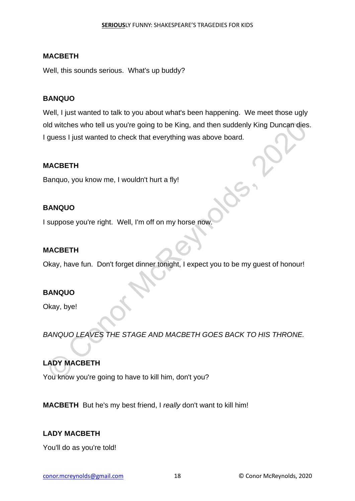Well, this sounds serious. What's up buddy?

#### **BANQUO**

Well, I just wanted to talk to you about what's been happening. We meet those ugly old witches who tell us you're going to be King, and then suddenly King Duncan dies. I guess I just wanted to check that everything was above board. Musiches who tell us you're going to be King, and then suddenly King Duncan dies<br>
guess I just wanted to check that everything was above board.<br>
MACBETH<br>
Sanquo, you know me, I wouldn't hurt a fly!<br>
SANQUO<br>
SANQUO<br>
MACBETH

#### **MACBETH**

Banquo, you know me, I wouldn't hurt a fly!

#### **BANQUO**

I suppose you're right. Well, I'm off on my horse now

#### **MACBETH**

Okay, have fun. Don't forget dinner tonight, I expect you to be my guest of honour!

#### **BANQUO**

Okay, bye!

*BANQUO LEAVES THE STAGE AND MACBETH GOES BACK TO HIS THRONE.*

# **LADY MACBETH**

You know you're going to have to kill him, don't you?

**MACBETH** But he's my best friend, I *really* don't want to kill him!

#### **LADY MACBETH**

You'll do as you're told!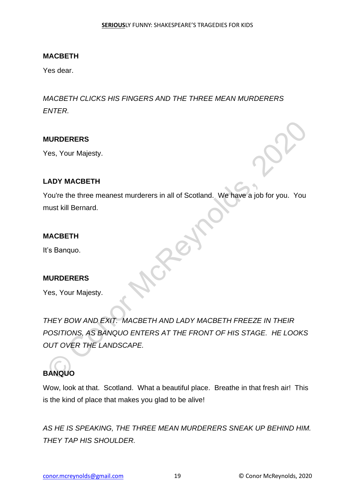Yes dear.

*MACBETH CLICKS HIS FINGERS AND THE THREE MEAN MURDERERS ENTER.*

#### **MURDERERS**

Yes, Your Majesty.

#### **LADY MACBETH**

You're the three meanest murderers in all of Scotland. We have a job for you. You must kill Bernard.

#### **MACBETH**

It's Banquo.

#### **MURDERERS**

Yes, Your Majesty.

*THEY BOW AND EXIT. MACBETH AND LADY MACBETH FREEZE IN THEIR POSITIONS, AS BANQUO ENTERS AT THE FRONT OF HIS STAGE. HE LOOKS OUT OVER THE LANDSCAPE.* WIRDERERS<br>
Ves, Your Majesty.<br>
ADY MACBETH<br>
You're the three meanest murderers in all of Scotland. We have a job for you. You<br>
must kill Bernard.<br>
MACBETH<br>
It's Banquo.<br>
Consignation Control Control Control Control Control

# **BANQUO**

Wow, look at that. Scotland. What a beautiful place. Breathe in that fresh air! This is the kind of place that makes you glad to be alive!

*AS HE IS SPEAKING, THE THREE MEAN MURDERERS SNEAK UP BEHIND HIM. THEY TAP HIS SHOULDER.*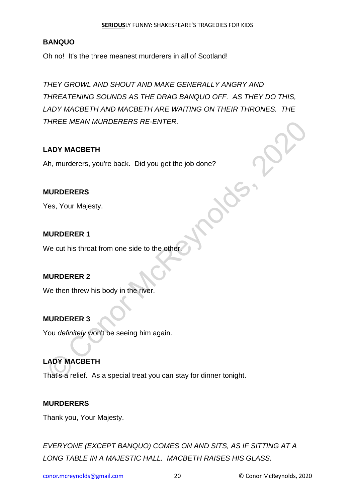# **BANQUO**

Oh no! It's the three meanest murderers in all of Scotland!

*THEY GROWL AND SHOUT AND MAKE GENERALLY ANGRY AND THREATENING SOUNDS AS THE DRAG BANQUO OFF. AS THEY DO THIS, LADY MACBETH AND MACBETH ARE WAITING ON THEIR THRONES. THE THREE MEAN MURDERERS RE-ENTER.*

### **LADY MACBETH**

Ah, murderers, you're back. Did you get the job done?

### **MURDERERS**

Yes, Your Majesty.

#### **MURDERER 1**

We cut his throat from one side to the other.

#### **MURDERER 2**

We then threw his body in the river.

#### **MURDERER 3**

You *definitely* won't be seeing him again.

# **LADY MACBETH**

That's a relief. As a special treat you can stay for dinner tonight. FIREE MEAN MURDERERS RE-ENTER.<br>
ADY MACBETH<br>
Ah, murderers, you're back. Did you get the job done?<br>
MURDERERS<br>
Yes, Your Majesty.<br>
MURDERER 1<br>
We cut his throat from one side to the other.<br>
MURDERER 2<br>
WE then threw his bo

#### **MURDERERS**

Thank you, Your Majesty.

*EVERYONE (EXCEPT BANQUO) COMES ON AND SITS, AS IF SITTING AT A LONG TABLE IN A MAJESTIC HALL. MACBETH RAISES HIS GLASS.*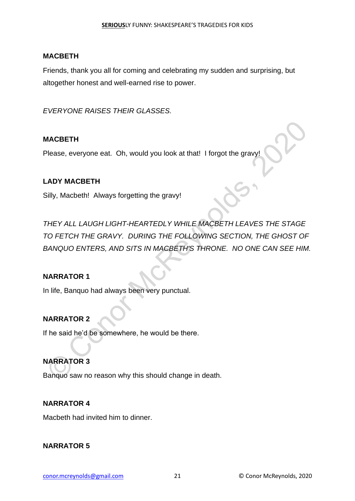Friends, thank you all for coming and celebrating my sudden and surprising, but altogether honest and well-earned rise to power.

*EVERYONE RAISES THEIR GLASSES.*

#### **MACBETH**

Please, everyone eat. Oh, would you look at that! I forgot the gravy!

#### **LADY MACBETH**

Silly, Macbeth! Always forgetting the gravy!

*THEY ALL LAUGH LIGHT-HEARTEDLY WHILE MACBETH LEAVES THE STAGE TO FETCH THE GRAVY. DURING THE FOLLOWING SECTION, THE GHOST OF BANQUO ENTERS, AND SITS IN MACBETH'S THRONE. NO ONE CAN SEE HIM.*  MACBETH<br>
Please, everyone eat. Oh, would you look at that! I forgot the gravy!<br>
ADY MACBETH<br>
Silly, Macbeth! Always forgetting the gravy!<br>
THEY ALL LAUGH LIGHT-HEARTEDLY WHILE MACBETH LEAVES THE STAGE<br>
TO FETCH THE GRAVY.

#### **NARRATOR 1**

In life, Banquo had always been very punctual.

#### **NARRATOR 2**

If he said he'd be somewhere, he would be there.

#### **NARRATOR 3**

Banquo saw no reason why this should change in death.

#### **NARRATOR 4**

Macbeth had invited him to dinner.

#### **NARRATOR 5**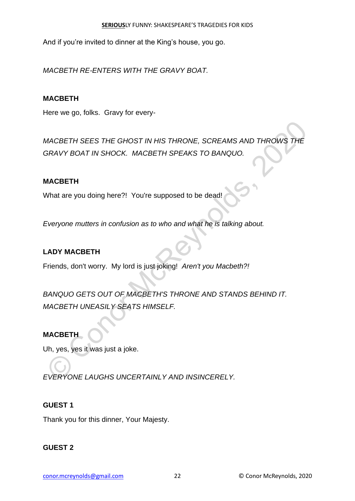And if you're invited to dinner at the King's house, you go.

*MACBETH RE-ENTERS WITH THE GRAVY BOAT.*

### **MACBETH**

Here we go, folks. Gravy for every-

*MACBETH SEES THE GHOST IN HIS THRONE, SCREAMS AND THROWS THE GRAVY BOAT IN SHOCK. MACBETH SPEAKS TO BANQUO.* MACBETH SEES THE GHOST IN HIS THRONE, SCREAMS AND THROWS THE<br>SRAVY BOAT IN SHOCK. MACBETH SPEAKS TO BANQUO.<br>What are you doing here?! You're supposed to be dead!<br>Everyone mutters in confusion as to who and what he is talki

### **MACBETH**

What are you doing here?! You're supposed to be dead!

*Everyone mutters in confusion as to who and what he is talking about.*

### **LADY MACBETH**

Friends, don't worry. My lord is just joking! *Aren't you Macbeth?!*

*BANQUO GETS OUT OF MACBETH'S THRONE AND STANDS BEHIND IT. MACBETH UNEASILY SEATS HIMSELF.*

#### **MACBETH**

Uh, yes, yes it was just a joke.

*EVERYONE LAUGHS UNCERTAINLY AND INSINCERELY.*

#### **GUEST 1**

Thank you for this dinner, Your Majesty.

#### **GUEST 2**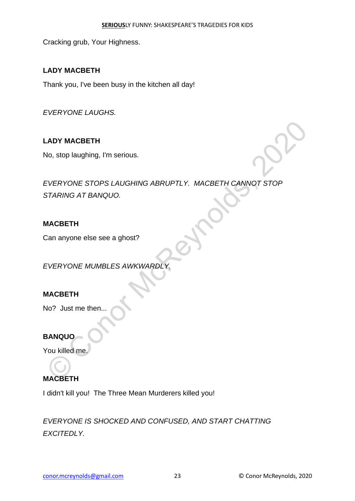Cracking grub, Your Highness.

# **LADY MACBETH**

Thank you, I've been busy in the kitchen all day!

*EVERYONE LAUGHS.*

# **LADY MACBETH**

No, stop laughing, I'm serious.

*EVERYONE STOPS LAUGHING ABRUPTLY. MACBETH CANNOT STOP STARING AT BANQUO.* MOR STOP BUSING, I'm serious.<br>
EVERYONE STOPS LAUGHING ABRUPTLY. MACBETH CANNOT STOP<br>
STARING AT BANQUO.<br>
MACBETH<br>
CAN ANOVE MUMBLES AWKWARDLY.<br>
MACBETH<br>
NO? Just me then...<br>
CON Killed me.<br>
NORCBETH<br>
MACBETH<br>
MACBETH

# **MACBETH**

Can anyone else see a ghost?

*EVERYONE MUMBLES AWKWARDLY.*

# **MACBETH**

No? Just me then...

# **BANQUO**

You killed me.

# **MACBETH**

I didn't kill you! The Three Mean Murderers killed you!

*EVERYONE IS SHOCKED AND CONFUSED, AND START CHATTING EXCITEDLY.*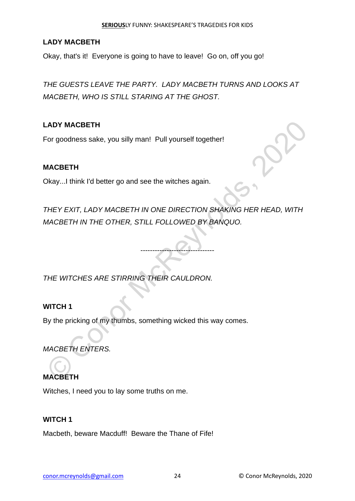#### **SERIOUS**LY FUNNY: SHAKESPEARE'S TRAGEDIES FOR KIDS

#### **LADY MACBETH**

Okay, that's it! Everyone is going to have to leave! Go on, off you go!

*THE GUESTS LEAVE THE PARTY. LADY MACBETH TURNS AND LOOKS AT MACBETH, WHO IS STILL STARING AT THE GHOST.*

### **LADY MACBETH**

For goodness sake, you silly man! Pull yourself together!

#### **MACBETH**

Okay...I think I'd better go and see the witches again.

*THEY EXIT, LADY MACBETH IN ONE DIRECTION SHAKING HER HEAD, WITH MACBETH IN THE OTHER, STILL FOLLOWED BY BANQUO.* ADY MACBETH<br>
For goodness sake, you silly man! Pull yourself together!<br>
MACBETH<br>
Dkay...! think I'd better go and see the witches again.<br>
THEY EXIT, LADY MACBETH IN ONE DIRECTION SHAKING HER HEAD, WITH<br>
MACBETH IN THE OTHE

-------------------------------

*THE WITCHES ARE STIRRING THEIR CAULDRON.*

#### **WITCH 1**

By the pricking of my thumbs, something wicked this way comes.

*MACBETH ENTERS.*

# **MACBETH**

Witches, I need you to lay some truths on me.

#### **WITCH 1**

Macbeth, beware Macduff! Beware the Thane of Fife!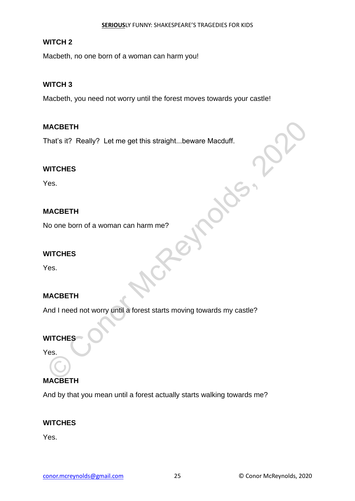### **WITCH 2**

Macbeth, no one born of a woman can harm you!

### **WITCH 3**

Macbeth, you need not worry until the forest moves towards your castle!

### **MACBETH**

That's it? Really? Let me get this straight...beware Macduff.

### **WITCHES**

Yes.

# **MACBETH**

No one born of a woman can harm me?

#### **WITCHES**

Yes.

# **MACBETH**

And I need not worry until a forest starts moving towards my castle? MACBETH<br>
Finat's it? Really? Let me get this straight...beware Macduff.<br>
VITCHES<br>
VISORETH<br>
No one born of a woman can harm me?<br>
NITCHES<br>
VITCHES<br>
VITCHES<br>
VITCHES<br>
VITCHES<br>
VITCHES<br>
VITCHES<br>
VITCHES<br>
VITCHES<br>
VITCHES<br>
VIT

# **WITCHES**

Yes.

# **MACBETH**

And by that you mean until a forest actually starts walking towards me?

#### **WITCHES**

Yes.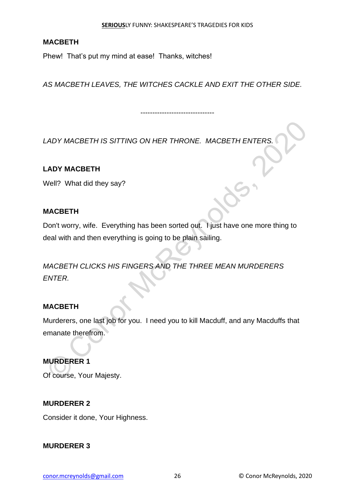Phew! That's put my mind at ease! Thanks, witches!

*AS MACBETH LEAVES, THE WITCHES CACKLE AND EXIT THE OTHER SIDE.*

-------------------------------

*LADY MACBETH IS SITTING ON HER THRONE. MACBETH ENTERS.*

# **LADY MACBETH**

Well? What did they say?

### **MACBETH**

Don't worry, wife. Everything has been sorted out. I just have one more thing to deal with and then everything is going to be plain sailing.

*MACBETH CLICKS HIS FINGERS AND THE THREE MEAN MURDERERS ENTER.*

#### **MACBETH**

Murderers, one last job for you. I need you to kill Macduff, and any Macduffs that emanate therefrom. CADY MACBETH IS SITTING ON HER THRONE. MACBETH ENTERS.<br>
ADY MACBETH<br>
Mell? What did they say?<br>
MACBETH<br>
Don't worry, wife. Everything has been sorted out. I just have one more thing to<br>
beal with and then everything is goi

#### **MURDERER 1**

Of course, Your Majesty.

#### **MURDERER 2**

Consider it done, Your Highness.

#### **MURDERER 3**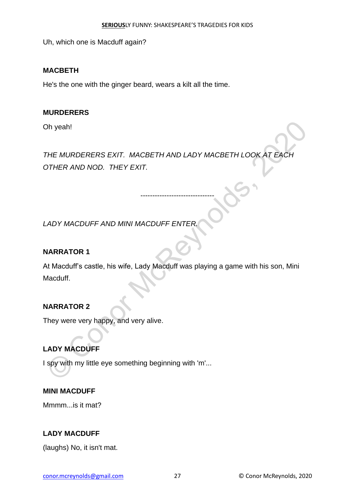Uh, which one is Macduff again?

#### **MACBETH**

He's the one with the ginger beard, wears a kilt all the time.

#### **MURDERERS**

Oh yeah!

*THE MURDERERS EXIT. MACBETH AND LADY MACBETH LOOK AT EACH OTHER AND NOD. THEY EXIT.* © Conor McReynolds, 2020

-------------------------------

*LADY MACDUFF AND MINI MACDUFF ENTER.* 

# **NARRATOR 1**

At Macduff's castle, his wife, Lady Macduff was playing a game with his son, Mini Macduff.

# **NARRATOR 2**

They were very happy, and very alive.

# **LADY MACDUFF**

I spy with my little eye something beginning with 'm'...

#### **MINI MACDUFF**

Mmmm...is it mat?

#### **LADY MACDUFF**

(laughs) No, it isn't mat.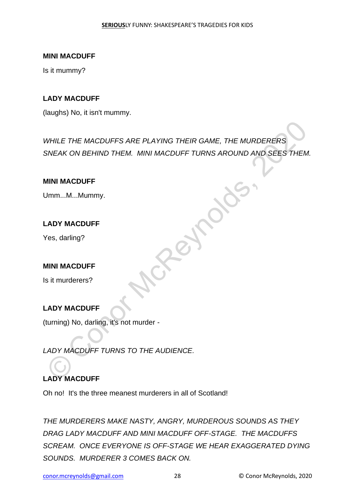#### **MINI MACDUFF**

Is it mummy?

#### **LADY MACDUFF**

(laughs) No, it isn't mummy.

*WHILE THE MACDUFFS ARE PLAYING THEIR GAME, THE MURDERERS SNEAK ON BEHIND THEM. MINI MACDUFF TURNS AROUND AND SEES THEM.* WHILE THE MACDUFFS ARE PLAYING THEIR GAME, THE MURDERERS<br>SNEAK ON BEHIND THEM. MINI MACDUFF TURNS AROUND AND SEES THEM<br>
MINI MACDUFF<br>
MINI MACDUFF<br>
(es. darling?<br>
ADY MACDUFF<br>
LADY MACDUFF TURNS TO THE AUDIENCE.<br>
ADY MACDU

#### **MINI MACDUFF**

Umm...M...Mummy.

# **LADY MACDUFF**

Yes, darling?

#### **MINI MACDUFF**

Is it murderers?

# **LADY MACDUFF**

(turning) No, darling, it's not murder -

*LADY MACDUFF TURNS TO THE AUDIENCE.*

# **LADY MACDUFF**

Oh no! It's the three meanest murderers in all of Scotland!

*THE MURDERERS MAKE NASTY, ANGRY, MURDEROUS SOUNDS AS THEY DRAG LADY MACDUFF AND MINI MACDUFF OFF-STAGE. THE MACDUFFS SCREAM. ONCE EVERYONE IS OFF-STAGE WE HEAR EXAGGERATED DYING SOUNDS. MURDERER 3 COMES BACK ON.*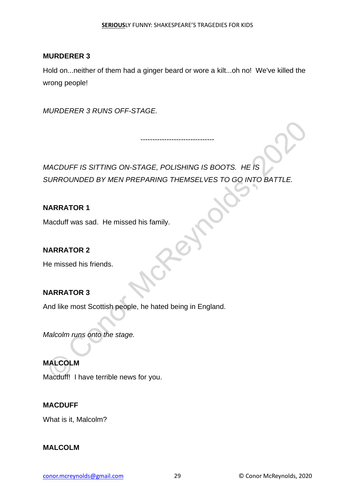#### **MURDERER 3**

Hold on...neither of them had a ginger beard or wore a kilt...oh no! We've killed the wrong people!

-------------------------------

*MURDERER 3 RUNS OFF-STAGE.*

*MACDUFF IS SITTING ON-STAGE, POLISHING IS BOOTS. HE IS SURROUNDED BY MEN PREPARING THEMSELVES TO GO INTO BATTLE.* MACDUFF IS SITTING ON-STAGE, POLISHING IS BOOTS. HE IS<br>SURROUNDED BY MEN PREPARING THEMSELVES TO GO INTO BATTLE.<br>NARRATOR 1<br>Macduff was sad. He missed his family.<br>NARRATOR 2<br>He missed his friends.<br>NARRATOR 3<br>Malcolm runs o

### **NARRATOR 1**

Macduff was sad. He missed his family.

### **NARRATOR 2**

He missed his friends.

# **NARRATOR 3**

And like most Scottish people, he hated being in England.

*Malcolm runs onto the stage.*

**MALCOLM** Macduff! I have terrible news for you.

#### **MACDUFF**

What is it, Malcolm?

#### **MALCOLM**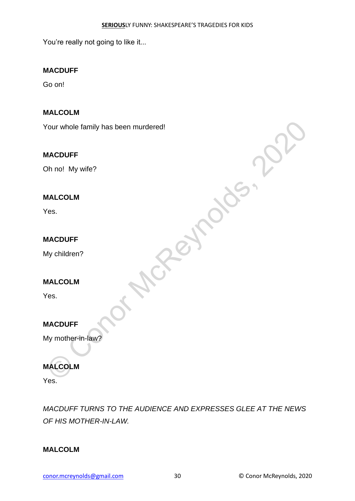You're really not going to like it...

### **MACDUFF**

Go on!

### **MALCOLM**

Your whole family has been murdered!

#### **MACDUFF**

Oh no! My wife?

#### **MALCOLM**

Yes.

### **MACDUFF**

My children?

#### **MALCOLM**

Yes.

# **MACDUFF**

My mother-in-law?

# **MALCOLM**

Yes.

*MACDUFF TURNS TO THE AUDIENCE AND EXPRESSES GLEE AT THE NEWS OF HIS MOTHER-IN-LAW.*

Peynolds,

#### **MALCOLM**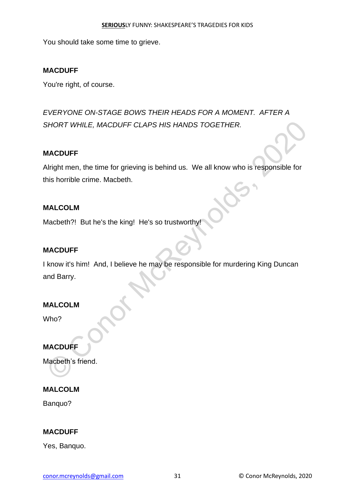You should take some time to grieve.

### **MACDUFF**

You're right, of course.

*EVERYONE ON-STAGE BOWS THEIR HEADS FOR A MOMENT. AFTER A SHORT WHILE, MACDUFF CLAPS HIS HANDS TOGETHER.*

#### **MACDUFF**

Alright men, the time for grieving is behind us. We all know who is responsible for this horrible crime. Macbeth.

#### **MALCOLM**

Macbeth?! But he's the king! He's so trustworthy!

#### **MACDUFF**

I know it's him! And, I believe he may be responsible for murdering King Duncan and Barry. SHORT WHILE, MACDUFF CLAPS HIS HANDS TOGETHER.<br>
NACDUFF<br>
Nirght men, the time for grieving is behind us. We all know who is responsible for<br>
his horrible crime. Macbeth.<br>
MALCOLM<br>
MACDUFF<br>
Know it's him! And, I believe he

#### **MALCOLM**

Who?

# **MACDUFF**

Macbeth's friend.

#### **MALCOLM**

Banquo?

#### **MACDUFF**

Yes, Banquo.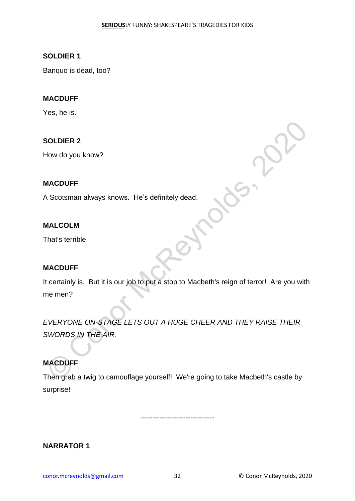#### **SOLDIER 1**

Banquo is dead, too?

#### **MACDUFF**

Yes, he is.

### **SOLDIER 2**

How do you know?

#### **MACDUFF**

A Scotsman always knows. He's definitely dead.

#### **MALCOLM**

That's terrible.

#### **MACDUFF**

It certainly is. But it is our job to put a stop to Macbeth's reign of terror! Are you with me men?

*EVERYONE ON-STAGE LETS OUT A HUGE CHEER AND THEY RAISE THEIR SWORDS IN THE AIR.* SOLDIER 2<br>
How do you know?<br>
A Scotsman always knows. He's definitely dead.<br>
MALCOLM<br>
That's terrible.<br>
MACDUFF<br>
toertainly is. But it is our job to put a stop to Macbeth's reign of terror! Are you with<br>
the memen?<br>
EVERYO

# **MACDUFF**

Then grab a twig to camouflage yourself! We're going to take Macbeth's castle by surprise!

-------------------------------

**NARRATOR 1**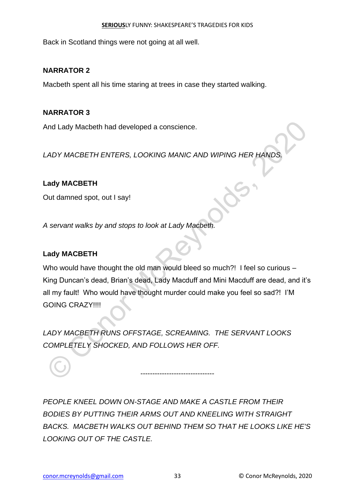Back in Scotland things were not going at all well.

# **NARRATOR 2**

Macbeth spent all his time staring at trees in case they started walking.

# **NARRATOR 3**

And Lady Macbeth had developed a conscience.

*LADY MACBETH ENTERS, LOOKING MANIC AND WIPING HER HANDS.*

# **Lady MACBETH**

Out damned spot, out I say!

*A servant walks by and stops to look at Lady Macbeth.*

# **Lady MACBETH**

Who would have thought the old man would bleed so much?! I feel so curious -King Duncan's dead, Brian's dead, Lady Macduff and Mini Macduff are dead, and it's all my fault! Who would have thought murder could make you feel so sad?! I'M GOING CRAZY!!!! And Lady Macbeth had developed a conscience.<br>
CADY MACBETH ENTERS, LOOKING MANIC AND WIPING HER HANDS.<br>
Ady MACBETH<br>
Dut damned spot, out I say!<br>
A servant walks by and stops to look at Lady Macbeth.<br>
A servant walks by an

*LADY MACBETH RUNS OFFSTAGE, SCREAMING. THE SERVANT LOOKS COMPLETELY SHOCKED, AND FOLLOWS HER OFF.*

*PEOPLE KNEEL DOWN ON-STAGE AND MAKE A CASTLE FROM THEIR BODIES BY PUTTING THEIR ARMS OUT AND KNEELING WITH STRAIGHT BACKS. MACBETH WALKS OUT BEHIND THEM SO THAT HE LOOKS LIKE HE'S LOOKING OUT OF THE CASTLE.*

-------------------------------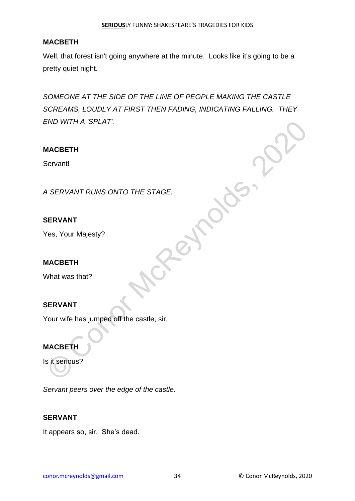Well, that forest isn't going anywhere at the minute. Looks like it's going to be a pretty quiet night.

*SOMEONE AT THE SIDE OF THE LINE OF PEOPLE MAKING THE CASTLE SCREAMS, LOUDLY AT FIRST THEN FADING, INDICATING FALLING. THEY END WITH A 'SPLAT'.* END WITH A "SPLAT".<br>
MACBETH<br>
Servant<br>
A SERVANT RUNS ONTO THE STAGE.<br>
SERVANT<br>
MACBETH<br>
MACBETH<br>
SERVANT<br>
Cour wife has jumped off the castle, sir.<br>
MACBETH<br>
Sit serious?

### **MACBETH**

Servant!

*A SERVANT RUNS ONTO THE STAGE.*

#### **SERVANT**

Yes, Your Majesty?

#### **MACBETH**

What was that?

# **SERVANT**

Your wife has jumped off the castle, sir.

# **MACBETH**

Is it serious?

*Servant peers over the edge of the castle.*

#### **SERVANT**

It appears so, sir. She's dead.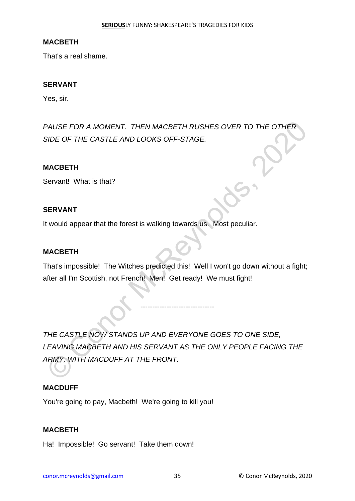That's a real shame.

#### **SERVANT**

Yes, sir.

*PAUSE FOR A MOMENT. THEN MACBETH RUSHES OVER TO THE OTHER SIDE OF THE CASTLE AND LOOKS OFF-STAGE.*

#### **MACBETH**

Servant! What is that?

#### **SERVANT**

It would appear that the forest is walking towards us. Most peculiar.

#### **MACBETH**

That's impossible! The Witches predicted this! Well I won't go down without a fight; after all I'm Scottish, not French! Men! Get ready! We must fight!

-------------------------------

*THE CASTLE NOW STANDS UP AND EVERYONE GOES TO ONE SIDE, LEAVING MACBETH AND HIS SERVANT AS THE ONLY PEOPLE FACING THE ARMY, WITH MACDUFF AT THE FRONT.* PAUSE FOR A MOMENT. THEN MACBETH RUSHES OVER TO THE OTHER<br>SIDE OF THE CASTLE AND LOOKS OFF-STAGE.<br> **MACBETH**<br>
Servant! What is that?<br>
SERVANT<br>
The servant would appear that the forest is walking towards us. Most peculiar.<br>

#### **MACDUFF**

You're going to pay, Macbeth! We're going to kill you!

#### **MACBETH**

Ha! Impossible! Go servant! Take them down!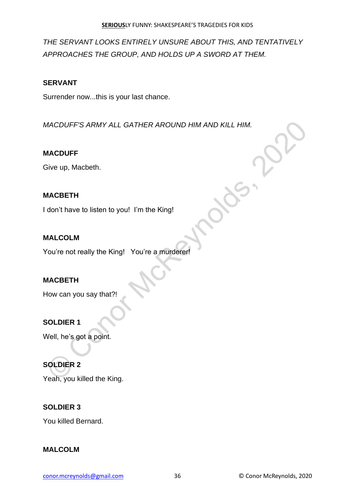*THE SERVANT LOOKS ENTIRELY UNSURE ABOUT THIS, AND TENTATIVELY APPROACHES THE GROUP, AND HOLDS UP A SWORD AT THEM.*

# **SERVANT**

Surrender now...this is your last chance.

*MACDUFF'S ARMY ALL GATHER AROUND HIM AND KILL HIM.* MACDUFF'S ARMY ALL GATHER AROUND HIM AND KILL HIM.<br>
MACDUFF<br>
Sive up, Macbeth.<br>
MACBETH<br>
don't have to listen to you! I'm the King!<br>
You're not really the King!<br>
You're a murderer!<br>
How can you say that?!<br>
SOLDIER 1<br>
Nell,

# **MACDUFF**

Give up, Macbeth.

# **MACBETH**

I don't have to listen to you! I'm the King!

# **MALCOLM**

You're not really the King! You're a murderer!

# **MACBETH**

How can you say that?!

# **SOLDIER 1**

Well, he's got a point.

# **SOLDIER 2**

Yeah, you killed the King.

# **SOLDIER 3**

You killed Bernard.

# **MALCOLM**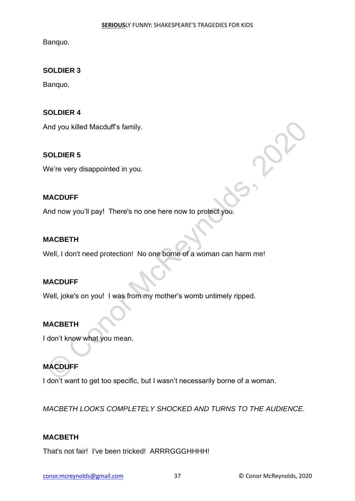Banquo.

# **SOLDIER 3**

Banquo.

### **SOLDIER 4**

And you killed Macduff's family.

### **SOLDIER 5**

We're very disappointed in you.

#### **MACDUFF**

And now you'll pay! There's no one here now to protect you.

#### **MACBETH**

Well, I don't need protection! No one borne of a woman can harm me! Not you killed Macduff's family.<br>
SOLDIER 5<br>
We're very disappointed in you.<br>
MACDUFF<br>
And now you'll pay! There's no one here now to protect you.<br>
MACBETH<br>
Well, joke's on you! I was from my mother's womb untimely ripped.

#### **MACDUFF**

Well, joke's on you! I was from my mother's womb untimely ripped.

#### **MACBETH**

I don't know what you mean.

# **MACDUFF**

I don't want to get too specific, but I wasn't necessarily borne of a woman.

*MACBETH LOOKS COMPLETELY SHOCKED AND TURNS TO THE AUDIENCE.*

#### **MACBETH**

That's not fair! I've been tricked! ARRRGGGHHHH!